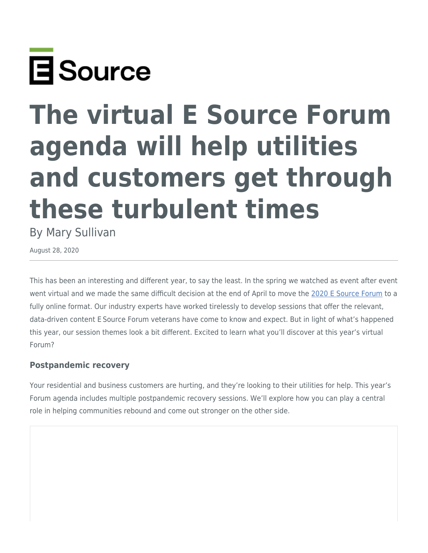

# **The virtual E Source Forum agenda will help utilities and customers get through these turbulent times**

By Mary Sullivan

August 28, 2020

This has been an interesting and different year, to say the least. In the spring we watched as event after event went virtual and we made the same difficult decision at the end of April to move the [2020 E Source Forum](https://www.esource.com/forum2020) to a fully online format. Our industry experts have worked tirelessly to develop sessions that offer the relevant, data-driven content E Source Forum veterans have come to know and expect. But in light of what's happened this year, our session themes look a bit different. Excited to learn what you'll discover at this year's virtual Forum?

#### **Postpandemic recovery**

Your residential and business customers are hurting, and they're looking to their utilities for help. This year's Forum agenda includes multiple postpandemic recovery sessions. We'll explore how you can play a central role in helping communities rebound and come out stronger on the other side.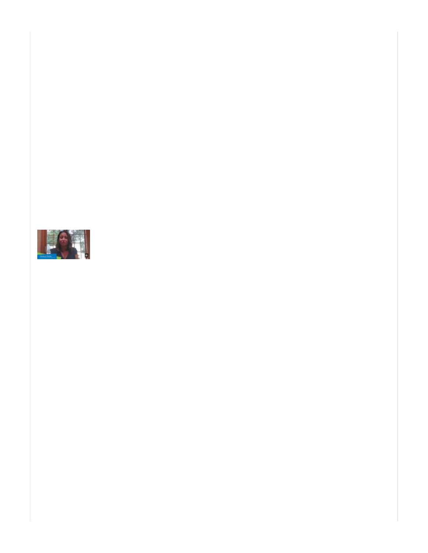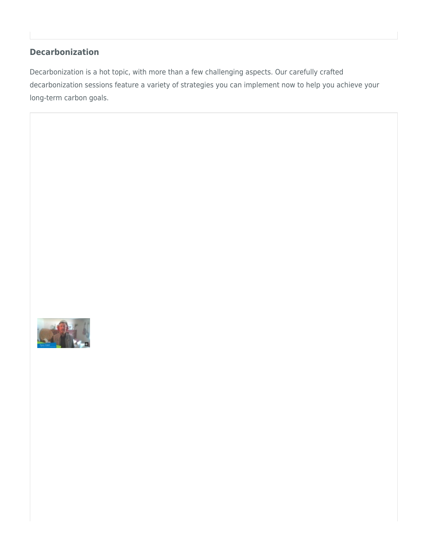## **Decarbonization**

Decarbonization is a hot topic, with more than a few challenging aspects. Our carefully crafted decarbonization sessions feature a variety of strategies you can implement now to help you achieve your long-term carbon goals.

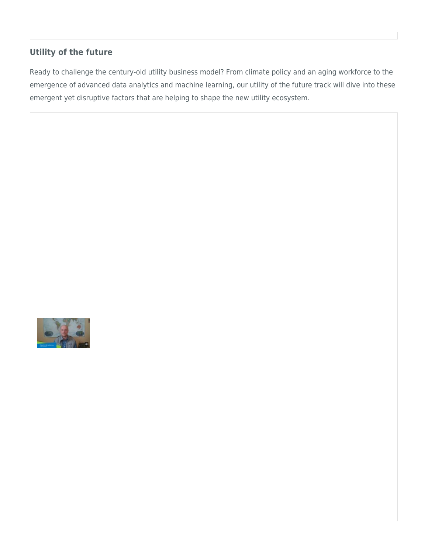### **Utility of the future**

Ready to challenge the century-old utility business model? From climate policy and an aging workforce to the emergence of advanced data analytics and machine learning, our utility of the future track will dive into these emergent yet disruptive factors that are helping to shape the new utility ecosystem.

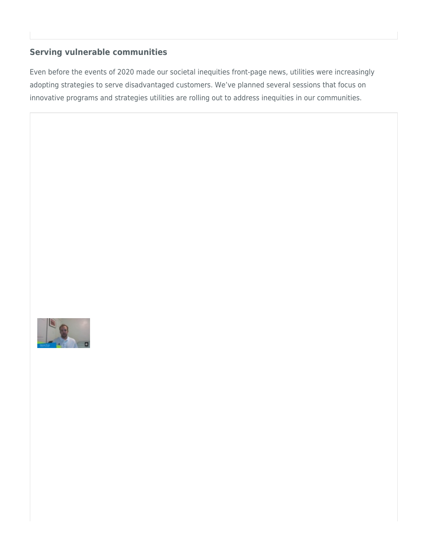## **Serving vulnerable communities**

Even before the events of 2020 made our societal inequities front-page news, utilities were increasingly adopting strategies to serve disadvantaged customers. We've planned several sessions that focus on innovative programs and strategies utilities are rolling out to address inequities in our communities.